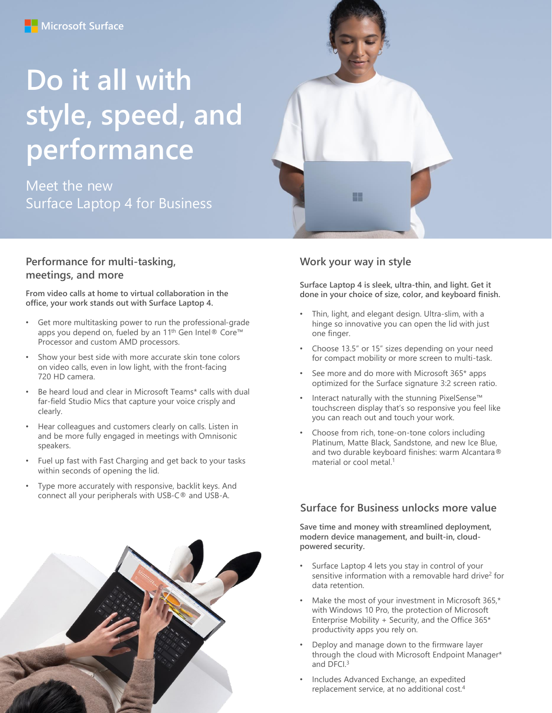# **Do it all with style, speed, and performance**

Meet the new Surface Laptop 4 for Business

#### **Performance for multi-tasking, meetings, and more**

**From video calls at home to virtual collaboration in the office, your work stands out with Surface Laptop 4.**

- Get more multitasking power to run the professional-grade apps you depend on, fueled by an 11<sup>th</sup> Gen Intel® Core<sup>™</sup> Processor and custom AMD processors.
- Show your best side with more accurate skin tone colors on video calls, even in low light, with the front-facing 720 HD camera.
- Be heard loud and clear in Microsoft Teams\* calls with dual far-field Studio Mics that capture your voice crisply and clearly.
- Hear colleagues and customers clearly on calls. Listen in and be more fully engaged in meetings with Omnisonic speakers.
- Fuel up fast with Fast Charging and get back to your tasks within seconds of opening the lid.
- Type more accurately with responsive, backlit keys. And connect all your peripherals with USB-C® and USB-A.



### **Work your way in style**

**Surface Laptop 4 is sleek, ultra-thin, and light. Get it done in your choice of size, color, and keyboard finish.** 

- Thin, light, and elegant design. Ultra-slim, with a hinge so innovative you can open the lid with just one finger.
- Choose 13.5" or 15" sizes depending on your need for compact mobility or more screen to multi-task.
- See more and do more with Microsoft 365\* apps optimized for the Surface signature 3:2 screen ratio.
- Interact naturally with the stunning PixelSense™ touchscreen display that's so responsive you feel like you can reach out and touch your work.
- Choose from rich, tone-on-tone colors including Platinum, Matte Black, Sandstone, and new Ice Blue, and two durable keyboard finishes: warm Alcantara® material or cool metal.<sup>1</sup>

#### **Surface for Business unlocks more value**

**Save time and money with streamlined deployment, modern device management, and built-in, cloudpowered security.**

- Surface Laptop 4 lets you stay in control of your sensitive information with a removable hard drive<sup>2</sup> for data retention.
- Make the most of your investment in Microsoft 365,\* with Windows 10 Pro, the protection of Microsoft Enterprise Mobility + Security, and the Office  $365*$ productivity apps you rely on.
- Deploy and manage down to the firmware layer through the cloud with Microsoft Endpoint Manager\* and DFCI.<sup>3</sup>
- Includes Advanced Exchange, an expedited replacement service, at no additional cost.4